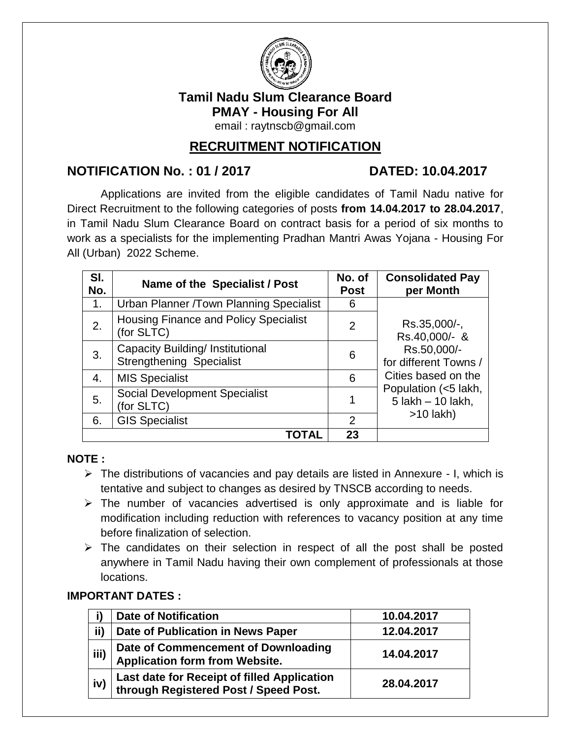

## **Tamil Nadu Slum Clearance Board PMAY - Housing For All**

email : [raytnscb@gmail.com](mailto:raytnscb@gmail.com)

## **RECRUITMENT NOTIFICATION**

## **NOTIFICATION No. : 01 / 2017 DATED: 10.04.2017**

Applications are invited from the eligible candidates of Tamil Nadu native for Direct Recruitment to the following categories of posts **from 14.04.2017 to 28.04.2017**, in Tamil Nadu Slum Clearance Board on contract basis for a period of six months to work as a specialists for the implementing Pradhan Mantri Awas Yojana - Housing For All (Urban) 2022 Scheme.

| SI.<br>No. | Name of the Specialist / Post                                       | No. of<br><b>Post</b> | <b>Consolidated Pay</b><br>per Month      |  |  |
|------------|---------------------------------------------------------------------|-----------------------|-------------------------------------------|--|--|
| 1.         | Urban Planner /Town Planning Specialist                             | 6                     |                                           |  |  |
| 2.         | <b>Housing Finance and Policy Specialist</b><br>(for SLTC)          | 2                     | Rs.35,000/-,<br>Rs.40,000/- &             |  |  |
| 3.         | Capacity Building/ Institutional<br><b>Strengthening Specialist</b> | 6                     | Rs.50,000/-<br>for different Towns /      |  |  |
| 4.         | <b>MIS Specialist</b>                                               | 6                     | Cities based on the                       |  |  |
| 5.         | <b>Social Development Specialist</b><br>(for SLTC)                  |                       | Population (<5 lakh,<br>5 lakh - 10 lakh, |  |  |
| 6.         | <b>GIS Specialist</b>                                               | $\overline{2}$        | $>10$ lakh)                               |  |  |
|            |                                                                     | 23                    |                                           |  |  |

#### **NOTE :**

- $\triangleright$  The distributions of vacancies and pay details are listed in Annexure I, which is tentative and subject to changes as desired by TNSCB according to needs.
- $\triangleright$  The number of vacancies advertised is only approximate and is liable for modification including reduction with references to vacancy position at any time before finalization of selection.
- $\triangleright$  The candidates on their selection in respect of all the post shall be posted anywhere in Tamil Nadu having their own complement of professionals at those locations.

#### **IMPORTANT DATES :**

|      | <b>Date of Notification</b>                                                          | 10.04.2017 |
|------|--------------------------------------------------------------------------------------|------------|
| ii)  | Date of Publication in News Paper                                                    | 12.04.2017 |
| iii) | Date of Commencement of Downloading<br><b>Application form from Website.</b>         | 14.04.2017 |
| iv)  | Last date for Receipt of filled Application<br>through Registered Post / Speed Post. | 28.04.2017 |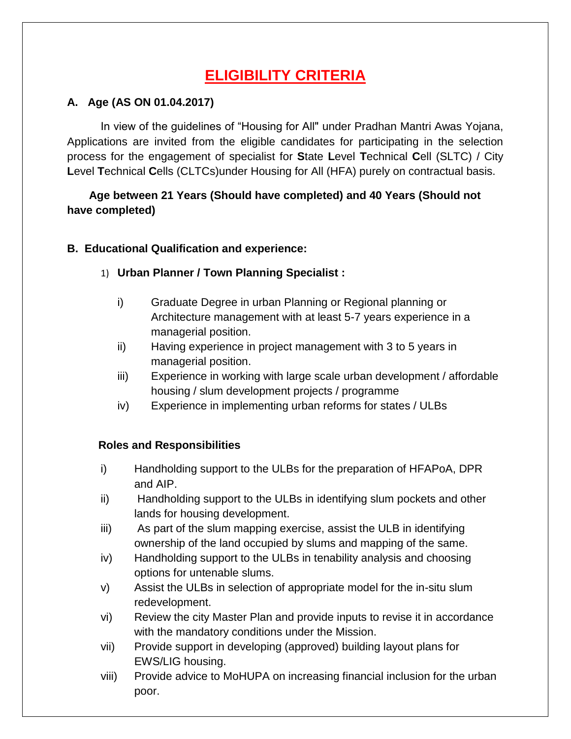# **ELIGIBILITY CRITERIA**

## **A. Age (AS ON 01.04.2017)**

In view of the guidelines of "Housing for All" under Pradhan Mantri Awas Yojana, Applications are invited from the eligible candidates for participating in the selection process for the engagement of specialist for **S**tate **L**evel **T**echnical **C**ell (SLTC) / City **L**evel **T**echnical **C**ells (CLTCs)under Housing for All (HFA) purely on contractual basis.

## **Age between 21 Years (Should have completed) and 40 Years (Should not have completed)**

## **B. Educational Qualification and experience:**

## 1) **Urban Planner / Town Planning Specialist :**

- i) Graduate Degree in urban Planning or Regional planning or Architecture management with at least 5-7 years experience in a managerial position.
- ii) Having experience in project management with 3 to 5 years in managerial position.
- iii) Experience in working with large scale urban development / affordable housing / slum development projects / programme
- iv) Experience in implementing urban reforms for states / ULBs

#### **Roles and Responsibilities**

- i) Handholding support to the ULBs for the preparation of HFAPoA, DPR and AIP.
- ii) Handholding support to the ULBs in identifying slum pockets and other lands for housing development.
- iii) As part of the slum mapping exercise, assist the ULB in identifying ownership of the land occupied by slums and mapping of the same.
- iv) Handholding support to the ULBs in tenability analysis and choosing options for untenable slums.
- v) Assist the ULBs in selection of appropriate model for the in-situ slum redevelopment.
- vi) Review the city Master Plan and provide inputs to revise it in accordance with the mandatory conditions under the Mission.
- vii) Provide support in developing (approved) building layout plans for EWS/LIG housing.
- viii) Provide advice to MoHUPA on increasing financial inclusion for the urban poor.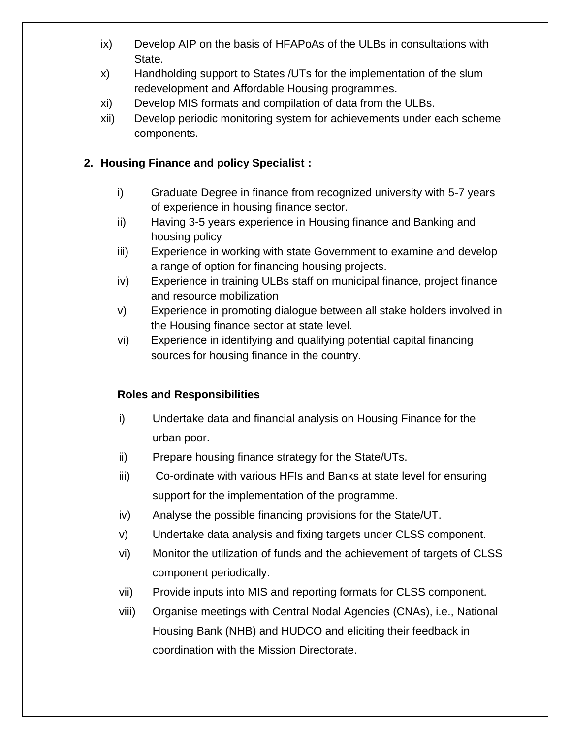- ix) Develop AIP on the basis of HFAPoAs of the ULBs in consultations with State.
- x) Handholding support to States /UTs for the implementation of the slum redevelopment and Affordable Housing programmes.
- xi) Develop MIS formats and compilation of data from the ULBs.
- xii) Develop periodic monitoring system for achievements under each scheme components.

## **2. Housing Finance and policy Specialist :**

- i) Graduate Degree in finance from recognized university with 5-7 years of experience in housing finance sector.
- ii) Having 3-5 years experience in Housing finance and Banking and housing policy
- iii) Experience in working with state Government to examine and develop a range of option for financing housing projects.
- iv) Experience in training ULBs staff on municipal finance, project finance and resource mobilization
- v) Experience in promoting dialogue between all stake holders involved in the Housing finance sector at state level.
- vi) Experience in identifying and qualifying potential capital financing sources for housing finance in the country.

#### **Roles and Responsibilities**

- i) Undertake data and financial analysis on Housing Finance for the urban poor.
- ii) Prepare housing finance strategy for the State/UTs.
- iii) Co-ordinate with various HFIs and Banks at state level for ensuring support for the implementation of the programme.
- iv) Analyse the possible financing provisions for the State/UT.
- v) Undertake data analysis and fixing targets under CLSS component.
- vi) Monitor the utilization of funds and the achievement of targets of CLSS component periodically.
- vii) Provide inputs into MIS and reporting formats for CLSS component.
- viii) Organise meetings with Central Nodal Agencies (CNAs), i.e., National Housing Bank (NHB) and HUDCO and eliciting their feedback in coordination with the Mission Directorate.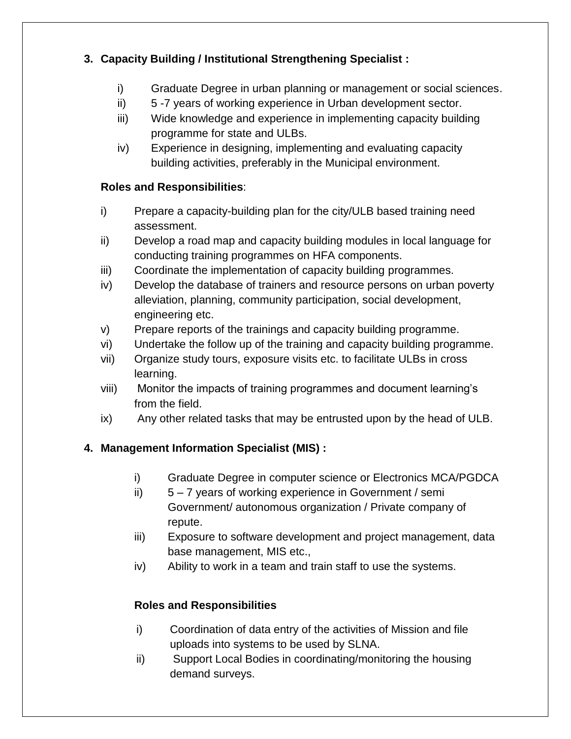## **3. Capacity Building / Institutional Strengthening Specialist :**

- i) Graduate Degree in urban planning or management or social sciences.
- ii) 5 -7 years of working experience in Urban development sector.
- iii) Wide knowledge and experience in implementing capacity building programme for state and ULBs.
- iv) Experience in designing, implementing and evaluating capacity building activities, preferably in the Municipal environment.

## **Roles and Responsibilities**:

- i) Prepare a capacity-building plan for the city/ULB based training need assessment.
- ii) Develop a road map and capacity building modules in local language for conducting training programmes on HFA components.
- iii) Coordinate the implementation of capacity building programmes.
- iv) Develop the database of trainers and resource persons on urban poverty alleviation, planning, community participation, social development, engineering etc.
- v) Prepare reports of the trainings and capacity building programme.
- vi) Undertake the follow up of the training and capacity building programme.
- vii) Organize study tours, exposure visits etc. to facilitate ULBs in cross learning.
- viii) Monitor the impacts of training programmes and document learning's from the field.
- ix) Any other related tasks that may be entrusted upon by the head of ULB.

## **4. Management Information Specialist (MIS) :**

- i) Graduate Degree in computer science or Electronics MCA/PGDCA
- ii) 5 7 years of working experience in Government / semi Government/ autonomous organization / Private company of repute.
- iii) Exposure to software development and project management, data base management, MIS etc.,
- iv) Ability to work in a team and train staff to use the systems.

## **Roles and Responsibilities**

- i) Coordination of data entry of the activities of Mission and file uploads into systems to be used by SLNA.
- ii) Support Local Bodies in coordinating/monitoring the housing demand surveys.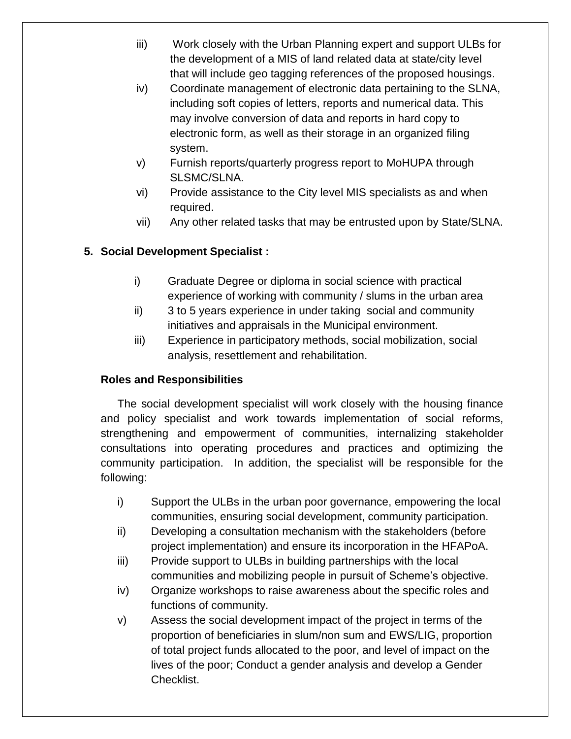- iii) Work closely with the Urban Planning expert and support ULBs for the development of a MIS of land related data at state/city level that will include geo tagging references of the proposed housings.
- iv) Coordinate management of electronic data pertaining to the SLNA, including soft copies of letters, reports and numerical data. This may involve conversion of data and reports in hard copy to electronic form, as well as their storage in an organized filing system.
- v) Furnish reports/quarterly progress report to MoHUPA through SLSMC/SLNA.
- vi) Provide assistance to the City level MIS specialists as and when required.
- vii) Any other related tasks that may be entrusted upon by State/SLNA.

## **5. Social Development Specialist :**

- i) Graduate Degree or diploma in social science with practical experience of working with community / slums in the urban area
- ii) 3 to 5 years experience in under taking social and community initiatives and appraisals in the Municipal environment.
- iii) Experience in participatory methods, social mobilization, social analysis, resettlement and rehabilitation.

#### **Roles and Responsibilities**

The social development specialist will work closely with the housing finance and policy specialist and work towards implementation of social reforms, strengthening and empowerment of communities, internalizing stakeholder consultations into operating procedures and practices and optimizing the community participation. In addition, the specialist will be responsible for the following:

- i) Support the ULBs in the urban poor governance, empowering the local communities, ensuring social development, community participation.
- ii) Developing a consultation mechanism with the stakeholders (before project implementation) and ensure its incorporation in the HFAPoA.
- iii) Provide support to ULBs in building partnerships with the local communities and mobilizing people in pursuit of Scheme's objective.
- iv) Organize workshops to raise awareness about the specific roles and functions of community.
- v) Assess the social development impact of the project in terms of the proportion of beneficiaries in slum/non sum and EWS/LIG, proportion of total project funds allocated to the poor, and level of impact on the lives of the poor; Conduct a gender analysis and develop a Gender Checklist.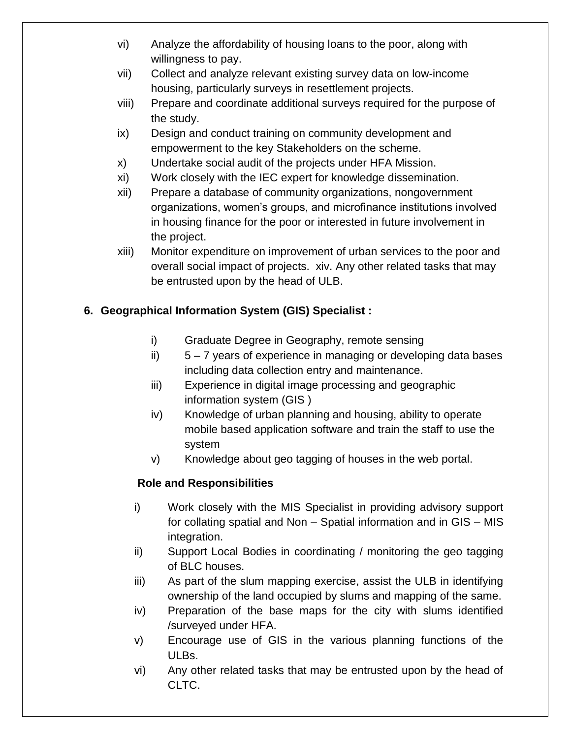- vi) Analyze the affordability of housing loans to the poor, along with willingness to pay.
- vii) Collect and analyze relevant existing survey data on low-income housing, particularly surveys in resettlement projects.
- viii) Prepare and coordinate additional surveys required for the purpose of the study.
- ix) Design and conduct training on community development and empowerment to the key Stakeholders on the scheme.
- x) Undertake social audit of the projects under HFA Mission.
- xi) Work closely with the IEC expert for knowledge dissemination.
- xii) Prepare a database of community organizations, nongovernment organizations, women's groups, and microfinance institutions involved in housing finance for the poor or interested in future involvement in the project.
- xiii) Monitor expenditure on improvement of urban services to the poor and overall social impact of projects. xiv. Any other related tasks that may be entrusted upon by the head of ULB.

## **6. Geographical Information System (GIS) Specialist :**

- i) Graduate Degree in Geography, remote sensing
- ii) 5 7 years of experience in managing or developing data bases including data collection entry and maintenance.
- iii) Experience in digital image processing and geographic information system (GIS )
- iv) Knowledge of urban planning and housing, ability to operate mobile based application software and train the staff to use the system
- v) Knowledge about geo tagging of houses in the web portal.

## **Role and Responsibilities**

- i) Work closely with the MIS Specialist in providing advisory support for collating spatial and Non – Spatial information and in GIS – MIS integration.
- ii) Support Local Bodies in coordinating / monitoring the geo tagging of BLC houses.
- iii) As part of the slum mapping exercise, assist the ULB in identifying ownership of the land occupied by slums and mapping of the same.
- iv) Preparation of the base maps for the city with slums identified /surveyed under HFA.
- v) Encourage use of GIS in the various planning functions of the ULBs.
- vi) Any other related tasks that may be entrusted upon by the head of CLTC.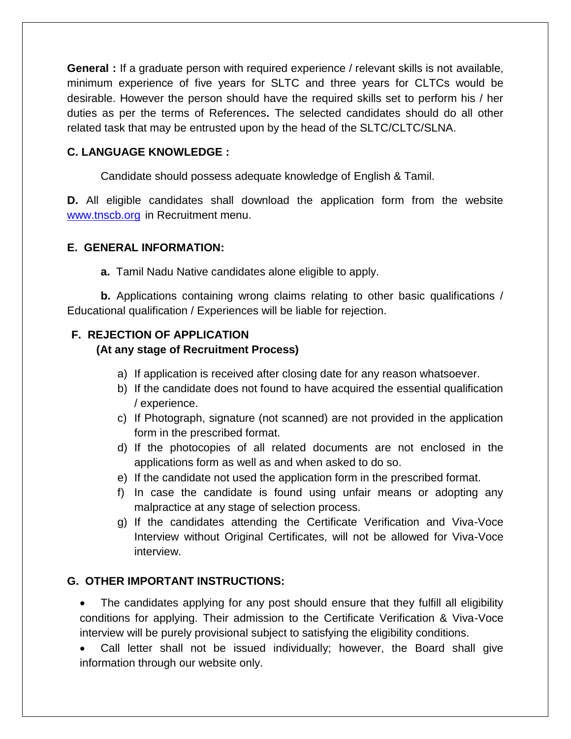**General :** If a graduate person with required experience / relevant skills is not available, minimum experience of five years for SLTC and three years for CLTCs would be desirable. However the person should have the required skills set to perform his / her duties as per the terms of References**.** The selected candidates should do all other related task that may be entrusted upon by the head of the SLTC/CLTC/SLNA.

#### **C. LANGUAGE KNOWLEDGE :**

Candidate should possess adequate knowledge of English & Tamil.

**D.** All eligible candidates shall download the application form from the website [www.tnscb.org](http://www.tnscb.org/) in Recruitment menu.

#### **E. GENERAL INFORMATION:**

**a.** Tamil Nadu Native candidates alone eligible to apply.

**b.** Applications containing wrong claims relating to other basic qualifications / Educational qualification / Experiences will be liable for rejection.

## **F. REJECTION OF APPLICATION**

#### **(At any stage of Recruitment Process)**

- a) If application is received after closing date for any reason whatsoever.
- b) If the candidate does not found to have acquired the essential qualification / experience.
- c) If Photograph, signature (not scanned) are not provided in the application form in the prescribed format.
- d) If the photocopies of all related documents are not enclosed in the applications form as well as and when asked to do so.
- e) If the candidate not used the application form in the prescribed format.
- f) In case the candidate is found using unfair means or adopting any malpractice at any stage of selection process.
- g) If the candidates attending the Certificate Verification and Viva-Voce Interview without Original Certificates, will not be allowed for Viva-Voce interview.

#### **G. OTHER IMPORTANT INSTRUCTIONS:**

 The candidates applying for any post should ensure that they fulfill all eligibility conditions for applying. Their admission to the Certificate Verification & Viva-Voce interview will be purely provisional subject to satisfying the eligibility conditions.

 Call letter shall not be issued individually; however, the Board shall give information through our website only.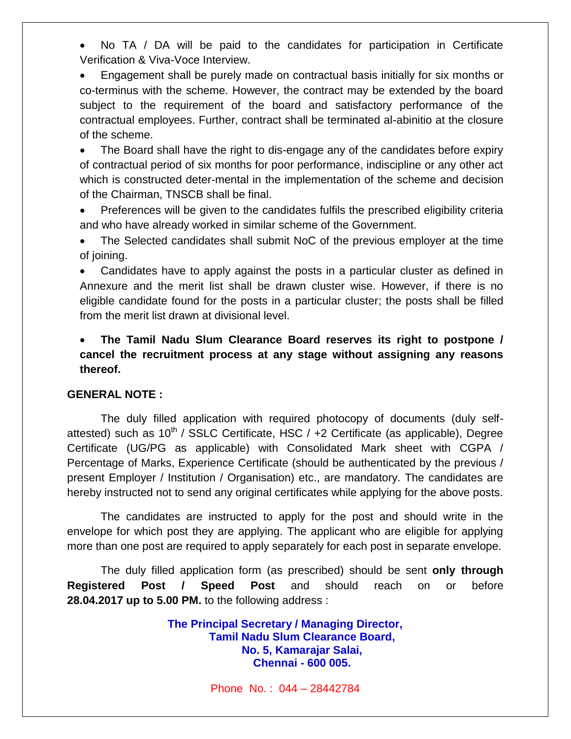No TA / DA will be paid to the candidates for participation in Certificate Verification & Viva-Voce Interview.

 Engagement shall be purely made on contractual basis initially for six months or co-terminus with the scheme. However, the contract may be extended by the board subject to the requirement of the board and satisfactory performance of the contractual employees. Further, contract shall be terminated al-abinitio at the closure of the scheme.

 The Board shall have the right to dis-engage any of the candidates before expiry of contractual period of six months for poor performance, indiscipline or any other act which is constructed deter-mental in the implementation of the scheme and decision of the Chairman, TNSCB shall be final.

 Preferences will be given to the candidates fulfils the prescribed eligibility criteria and who have already worked in similar scheme of the Government.

 The Selected candidates shall submit NoC of the previous employer at the time of joining.

 Candidates have to apply against the posts in a particular cluster as defined in Annexure and the merit list shall be drawn cluster wise. However, if there is no eligible candidate found for the posts in a particular cluster; the posts shall be filled from the merit list drawn at divisional level.

 **The Tamil Nadu Slum Clearance Board reserves its right to postpone / cancel the recruitment process at any stage without assigning any reasons thereof.**

#### **GENERAL NOTE :**

The duly filled application with required photocopy of documents (duly selfattested) such as  $10^{th}$  / SSLC Certificate, HSC /  $+2$  Certificate (as applicable), Degree Certificate (UG/PG as applicable) with Consolidated Mark sheet with CGPA / Percentage of Marks, Experience Certificate (should be authenticated by the previous / present Employer / Institution / Organisation) etc., are mandatory. The candidates are hereby instructed not to send any original certificates while applying for the above posts.

The candidates are instructed to apply for the post and should write in the envelope for which post they are applying. The applicant who are eligible for applying more than one post are required to apply separately for each post in separate envelope.

The duly filled application form (as prescribed) should be sent **only through Registered Post / Speed Post** and should reach on or before **28.04.2017 up to 5.00 PM.** to the following address :

> **The Principal Secretary / Managing Director, Tamil Nadu Slum Clearance Board, No. 5, Kamarajar Salai, Chennai - 600 005.**

> > Phone No. : 044 – 28442784